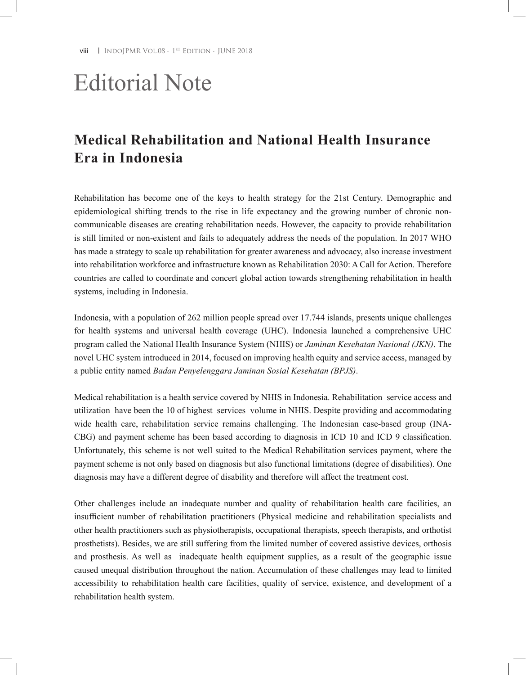**viii** | INDOJPMR VOL.08 - 1<sup>ST</sup> EDITION - JUNE 2018

## Editorial Note

## **Medical Rehabilitation and National Health Insurance Era in Indonesia**

Rehabilitation has become one of the keys to health strategy for the 21st Century. Demographic and epidemiological shifting trends to the rise in life expectancy and the growing number of chronic noncommunicable diseases are creating rehabilitation needs. However, the capacity to provide rehabilitation is still limited or non-existent and fails to adequately address the needs of the population. In 2017 WHO has made a strategy to scale up rehabilitation for greater awareness and advocacy, also increase investment into rehabilitation workforce and infrastructure known as Rehabilitation 2030: A Call for Action. Therefore countries are called to coordinate and concert global action towards strengthening rehabilitation in health systems, including in Indonesia.

Indonesia, with a population of 262 million people spread over 17.744 islands, presents unique challenges for health systems and universal health coverage (UHC). Indonesia launched a comprehensive UHC program called the National Health Insurance System (NHIS) or *Jaminan Kesehatan Nasional (JKN)*. The novel UHC system introduced in 2014, focused on improving health equity and service access, managed by a public entity named *Badan Penyelenggara Jaminan Sosial Kesehatan (BPJS)*.

Medical rehabilitation is a health service covered by NHIS in Indonesia. Rehabilitation service access and utilization have been the 10 of highest services volume in NHIS. Despite providing and accommodating wide health care, rehabilitation service remains challenging. The Indonesian case-based group (INA-CBG) and payment scheme has been based according to diagnosis in ICD 10 and ICD 9 classification. Unfortunately, this scheme is not well suited to the Medical Rehabilitation services payment, where the payment scheme is not only based on diagnosis but also functional limitations (degree of disabilities). One diagnosis may have a different degree of disability and therefore will affect the treatment cost.

Other challenges include an inadequate number and quality of rehabilitation health care facilities, an insufficient number of rehabilitation practitioners (Physical medicine and rehabilitation specialists and other health practitioners such as physiotherapists, occupational therapists, speech therapists, and orthotist prosthetists). Besides, we are still suffering from the limited number of covered assistive devices, orthosis and prosthesis. As well as inadequate health equipment supplies, as a result of the geographic issue caused unequal distribution throughout the nation. Accumulation of these challenges may lead to limited accessibility to rehabilitation health care facilities, quality of service, existence, and development of a rehabilitation health system.